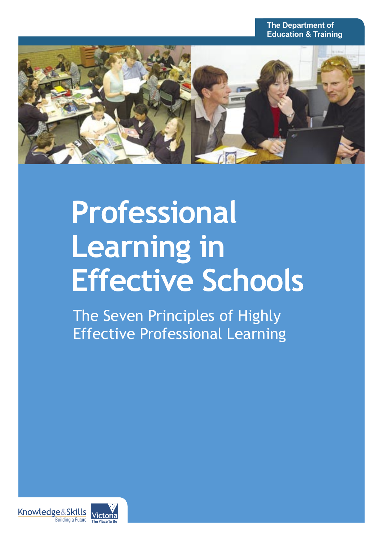

# **Professional Learning in Effective Schools**

The Seven Principles of Highly Effective Professional Learning

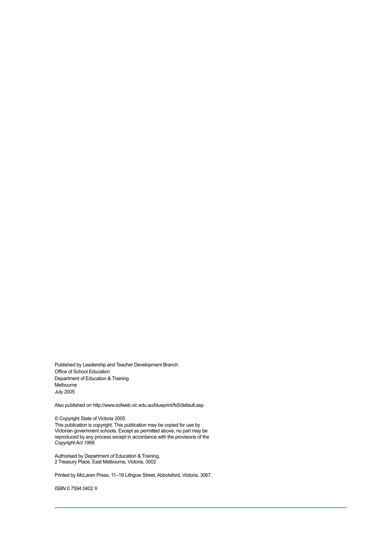Published by Leadership and Teacher Development Branch Office of School Education Department of Education & Training Melbourne July 2005

Also published on http://www.sofweb.vic.edu.au/blueprint/fs5/default.asp

© Copyright State of Victoria 2005

This publication is copyright. This publication may be copied for use by Victorian government schools. Except as permitted above, no part may be reproduced by any process except in accordance with the provisions of the *Copyright Act 1968*.

Authorised by Department of Education & Training, 2 Treasury Place, East Melbourne, Victoria, 3002

Printed by McLaren Press, 11–19 Lithgow Street, Abbotsford, Victoria, 3067.

ISBN 0 7594 0402 X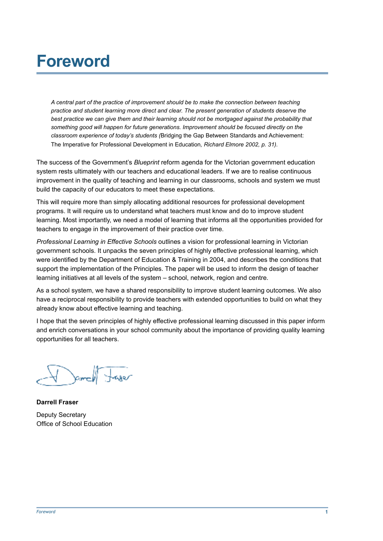### **Foreword**

*A central part of the practice of improvement should be to make the connection between teaching practice and student learning more direct and clear. The present generation of students deserve the*  best practice we can give them and their learning should not be mortgaged against the probability that *something good will happen for future generations. Improvement should be focused directly on the classroom experience of today's students (*Bridging the Gap Between Standards and Achievement: The Imperative for Professional Development in Education*, Richard Elmore 2002, p. 31).*

The success of the Government's *Blueprint* reform agenda for the Victorian government education system rests ultimately with our teachers and educational leaders. If we are to realise continuous improvement in the quality of teaching and learning in our classrooms, schools and system we must build the capacity of our educators to meet these expectations.

This will require more than simply allocating additional resources for professional development programs. It will require us to understand what teachers must know and do to improve student learning. Most importantly, we need a model of learning that informs all the opportunities provided for teachers to engage in the improvement of their practice over time.

*Professional Learning in Effective Schools* outlines a vision for professional learning in Victorian government schools. It unpacks the seven principles of highly effective professional learning, which were identified by the Department of Education & Training in 2004, and describes the conditions that support the implementation of the Principles. The paper will be used to inform the design of teacher learning initiatives at all levels of the system – school, network, region and centre.

As a school system, we have a shared responsibility to improve student learning outcomes. We also have a reciprocal responsibility to provide teachers with extended opportunities to build on what they already know about effective learning and teaching.

I hope that the seven principles of highly effective professional learning discussed in this paper inform and enrich conversations in your school community about the importance of providing quality learning opportunities for all teachers.

I amell tager

**Darrell Fraser** Deputy Secretary Office of School Education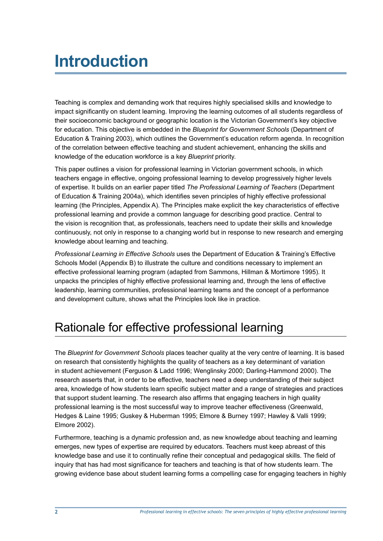## **Introduction**

Teaching is complex and demanding work that requires highly specialised skills and knowledge to impact significantly on student learning. Improving the learning outcomes of all students regardless of their socioeconomic background or geographic location is the Victorian Government's key objective for education. This objective is embedded in the *Blueprint for Government Schools* (Department of Education & Training 2003), which outlines the Government's education reform agenda. In recognition of the correlation between effective teaching and student achievement, enhancing the skills and knowledge of the education workforce is a key *Blueprint* priority.

This paper outlines a vision for professional learning in Victorian government schools, in which teachers engage in effective, ongoing professional learning to develop progressively higher levels of expertise. It builds on an earlier paper titled *The Professional Learning of Teachers* (Department of Education & Training 2004a), which identifies seven principles of highly effective professional learning (the Principles, Appendix A). The Principles make explicit the key characteristics of effective professional learning and provide a common language for describing good practice. Central to the vision is recognition that, as professionals, teachers need to update their skills and knowledge continuously, not only in response to a changing world but in response to new research and emerging knowledge about learning and teaching.

*Professional Learning in Effective Schools* uses the Department of Education & Training's Effective Schools Model (Appendix B) to illustrate the culture and conditions necessary to implement an effective professional learning program (adapted from Sammons, Hillman & Mortimore 1995). It unpacks the principles of highly effective professional learning and, through the lens of effective leadership, learning communities, professional learning teams and the concept of a performance and development culture, shows what the Principles look like in practice.

### Rationale for effective professional learning

The *Blueprint for Government Schools* places teacher quality at the very centre of learning. It is based on research that consistently highlights the quality of teachers as a key determinant of variation in student achievement (Ferguson & Ladd 1996; Wenglinsky 2000; Darling-Hammond 2000). The research asserts that, in order to be effective, teachers need a deep understanding of their subject area, knowledge of how students learn specific subject matter and a range of strategies and practices that support student learning. The research also affirms that engaging teachers in high quality professional learning is the most successful way to improve teacher effectiveness (Greenwald, Hedges & Laine 1995; Guskey & Huberman 1995; Elmore & Burney 1997; Hawley & Valli 1999; Elmore 2002).

Furthermore, teaching is a dynamic profession and, as new knowledge about teaching and learning emerges, new types of expertise are required by educators. Teachers must keep abreast of this knowledge base and use it to continually refine their conceptual and pedagogical skills. The field of inquiry that has had most significance for teachers and teaching is that of how students learn. The growing evidence base about student learning forms a compelling case for engaging teachers in highly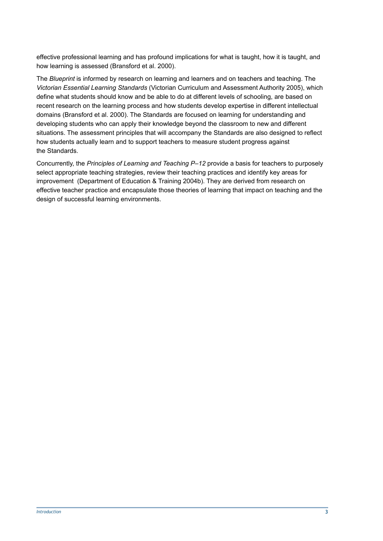effective professional learning and has profound implications for what is taught, how it is taught, and how learning is assessed (Bransford et al. 2000).

The *Blueprint* is informed by research on learning and learners and on teachers and teaching. The *Victorian Essential Learning Standards* (Victorian Curriculum and Assessment Authority 2005), which define what students should know and be able to do at different levels of schooling, are based on recent research on the learning process and how students develop expertise in different intellectual domains (Bransford et al. 2000). The Standards are focused on learning for understanding and developing students who can apply their knowledge beyond the classroom to new and different situations. The assessment principles that will accompany the Standards are also designed to reflect how students actually learn and to support teachers to measure student progress against the Standards.

Concurrently, the *Principles of Learning and Teaching P–12* provide a basis for teachers to purposely select appropriate teaching strategies, review their teaching practices and identify key areas for improvement (Department of Education & Training 2004b). They are derived from research on effective teacher practice and encapsulate those theories of learning that impact on teaching and the design of successful learning environments.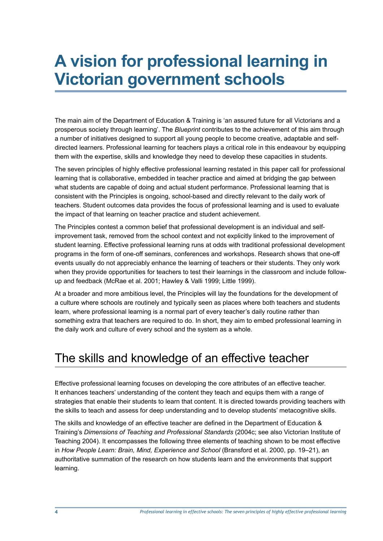### **A vision for professional learning in Victorian government schools**

The main aim of the Department of Education & Training is 'an assured future for all Victorians and a prosperous society through learning'. The *Blueprint* contributes to the achievement of this aim through a number of initiatives designed to support all young people to become creative, adaptable and selfdirected learners. Professional learning for teachers plays a critical role in this endeavour by equipping them with the expertise, skills and knowledge they need to develop these capacities in students.

The seven principles of highly effective professional learning restated in this paper call for professional learning that is collaborative, embedded in teacher practice and aimed at bridging the gap between what students are capable of doing and actual student performance. Professional learning that is consistent with the Principles is ongoing, school-based and directly relevant to the daily work of teachers. Student outcomes data provides the focus of professional learning and is used to evaluate the impact of that learning on teacher practice and student achievement.

The Principles contest a common belief that professional development is an individual and selfimprovement task, removed from the school context and not explicitly linked to the improvement of student learning. Effective professional learning runs at odds with traditional professional development programs in the form of one-off seminars, conferences and workshops. Research shows that one-off events usually do not appreciably enhance the learning of teachers or their students. They only work when they provide opportunities for teachers to test their learnings in the classroom and include followup and feedback (McRae et al. 2001; Hawley & Valli 1999; Little 1999).

At a broader and more ambitious level, the Principles will lay the foundations for the development of a culture where schools are routinely and typically seen as places where both teachers and students learn, where professional learning is a normal part of every teacher's daily routine rather than something extra that teachers are required to do. In short, they aim to embed professional learning in the daily work and culture of every school and the system as a whole.

### The skills and knowledge of an effective teacher

Effective professional learning focuses on developing the core attributes of an effective teacher. It enhances teachers' understanding of the content they teach and equips them with a range of strategies that enable their students to learn that content. It is directed towards providing teachers with the skills to teach and assess for deep understanding and to develop students' metacognitive skills.

The skills and knowledge of an effective teacher are defined in the Department of Education & Training's *Dimensions of Teaching and Professional Standards* (2004c; see also Victorian Institute of Teaching 2004). It encompasses the following three elements of teaching shown to be most effective in *How People Learn: Brain, Mind, Experience and School* (Bransford et al. 2000, pp. 19–21), an authoritative summation of the research on how students learn and the environments that support learning.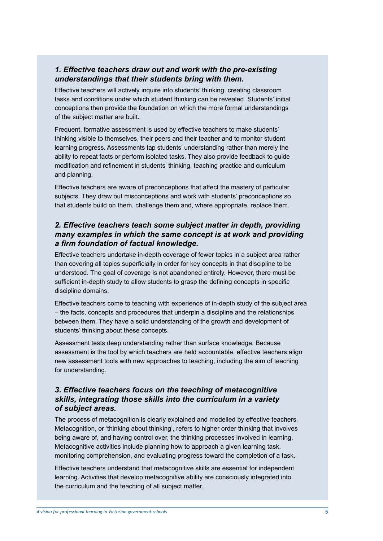#### *1. Effective teachers draw out and work with the pre-existing understandings that their students bring with them.*

Effective teachers will actively inquire into students' thinking, creating classroom tasks and conditions under which student thinking can be revealed. Students' initial conceptions then provide the foundation on which the more formal understandings of the subject matter are built.

Frequent, formative assessment is used by effective teachers to make students' thinking visible to themselves, their peers and their teacher and to monitor student learning progress. Assessments tap students' understanding rather than merely the ability to repeat facts or perform isolated tasks. They also provide feedback to guide modification and refinement in students' thinking, teaching practice and curriculum and planning.

Effective teachers are aware of preconceptions that affect the mastery of particular subjects. They draw out misconceptions and work with students' preconceptions so that students build on them, challenge them and, where appropriate, replace them.

#### *2. Effective teachers teach some subject matter in depth, providing many examples in which the same concept is at work and providing a firm foundation of factual knowledge.*

Effective teachers undertake in-depth coverage of fewer topics in a subject area rather than covering all topics superficially in order for key concepts in that discipline to be understood. The goal of coverage is not abandoned entirely. However, there must be sufficient in-depth study to allow students to grasp the defining concepts in specific discipline domains.

Effective teachers come to teaching with experience of in-depth study of the subject area – the facts, concepts and procedures that underpin a discipline and the relationships between them. They have a solid understanding of the growth and development of students' thinking about these concepts.

Assessment tests deep understanding rather than surface knowledge. Because assessment is the tool by which teachers are held accountable, effective teachers align new assessment tools with new approaches to teaching, including the aim of teaching for understanding.

#### *3. Effective teachers focus on the teaching of metacognitive skills, integrating those skills into the curriculum in a variety of subject areas.*

The process of metacognition is clearly explained and modelled by effective teachers. Metacognition, or 'thinking about thinking', refers to higher order thinking that involves being aware of, and having control over, the thinking processes involved in learning. Metacognitive activities include planning how to approach a given learning task, monitoring comprehension, and evaluating progress toward the completion of a task.

Effective teachers understand that metacognitive skills are essential for independent learning. Activities that develop metacognitive ability are consciously integrated into the curriculum and the teaching of all subject matter.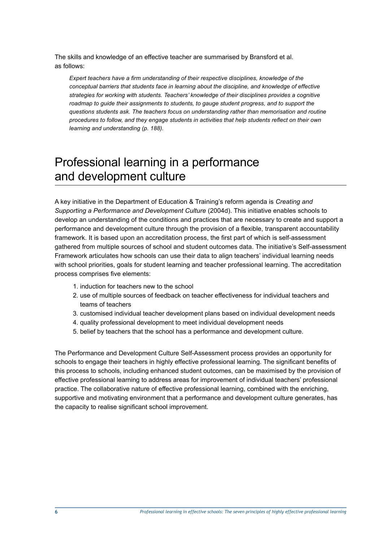The skills and knowledge of an effective teacher are summarised by Bransford et al. as follows:

*Expert teachers have a firm understanding of their respective disciplines, knowledge of the conceptual barriers that students face in learning about the discipline, and knowledge of effective strategies for working with students. Teachers' knowledge of their disciplines provides a cognitive roadmap to guide their assignments to students, to gauge student progress, and to support the questions students ask. The teachers focus on understanding rather than memorisation and routine procedures to follow, and they engage students in activities that help students reflect on their own learning and understanding (p. 188).*

### Professional learning in a performance and development culture

A key initiative in the Department of Education & Training's reform agenda is *Creating and Supporting a Performance and Development Culture* (2004d). This initiative enables schools to develop an understanding of the conditions and practices that are necessary to create and support a performance and development culture through the provision of a flexible, transparent accountability framework. It is based upon an accreditation process, the first part of which is self-assessment gathered from multiple sources of school and student outcomes data. The initiative's Self-assessment Framework articulates how schools can use their data to align teachers' individual learning needs with school priorities, goals for student learning and teacher professional learning. The accreditation process comprises five elements:

- 1. induction for teachers new to the school
- 2. use of multiple sources of feedback on teacher effectiveness for individual teachers and teams of teachers
- 3. customised individual teacher development plans based on individual development needs
- 4. quality professional development to meet individual development needs
- 5. belief by teachers that the school has a performance and development culture.

The Performance and Development Culture Self-Assessment process provides an opportunity for schools to engage their teachers in highly effective professional learning. The significant benefits of this process to schools, including enhanced student outcomes, can be maximised by the provision of effective professional learning to address areas for improvement of individual teachers' professional practice. The collaborative nature of effective professional learning, combined with the enriching, supportive and motivating environment that a performance and development culture generates, has the capacity to realise significant school improvement.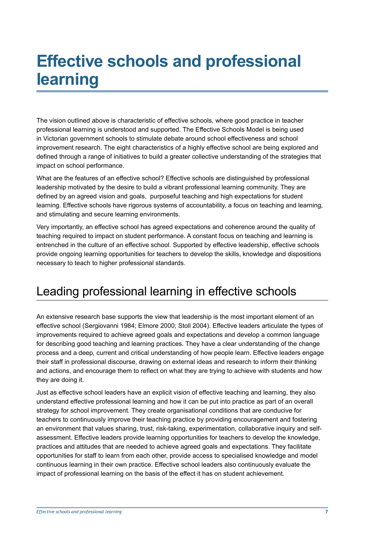## **Effective schools and professional learning**

The vision outlined above is characteristic of effective schools, where good practice in teacher professional learning is understood and supported. The Effective Schools Model is being used in Victorian government schools to stimulate debate around school effectiveness and school improvement research. The eight characteristics of a highly effective school are being explored and defined through a range of initiatives to build a greater collective understanding of the strategies that impact on school performance.

What are the features of an effective school? Effective schools are distinguished by professional leadership motivated by the desire to build a vibrant professional learning community. They are defined by an agreed vision and goals, purposeful teaching and high expectations for student learning. Effective schools have rigorous systems of accountability, a focus on teaching and learning, and stimulating and secure learning environments.

Very importantly, an effective school has agreed expectations and coherence around the quality of teaching required to impact on student performance. A constant focus on teaching and learning is entrenched in the culture of an effective school. Supported by effective leadership, effective schools provide ongoing learning opportunities for teachers to develop the skills, knowledge and dispositions necessary to teach to higher professional standards.

### Leading professional learning in effective schools

An extensive research base supports the view that leadership is the most important element of an effective school (Sergiovanni 1984; Elmore 2000; Stoll 2004). Effective leaders articulate the types of improvements required to achieve agreed goals and expectations and develop a common language for describing good teaching and learning practices. They have a clear understanding of the change process and a deep, current and critical understanding of how people learn. Effective leaders engage their staff in professional discourse, drawing on external ideas and research to inform their thinking and actions, and encourage them to reflect on what they are trying to achieve with students and how they are doing it.

Just as effective school leaders have an explicit vision of effective teaching and learning, they also understand effective professional learning and how it can be put into practice as part of an overall strategy for school improvement. They create organisational conditions that are conducive for teachers to continuously improve their teaching practice by providing encouragement and fostering an environment that values sharing, trust, risk-taking, experimentation, collaborative inquiry and selfassessment. Effective leaders provide learning opportunities for teachers to develop the knowledge, practices and attitudes that are needed to achieve agreed goals and expectations. They facilitate opportunities for staff to learn from each other, provide access to specialised knowledge and model continuous learning in their own practice. Effective school leaders also continuously evaluate the impact of professional learning on the basis of the effect it has on student achievement.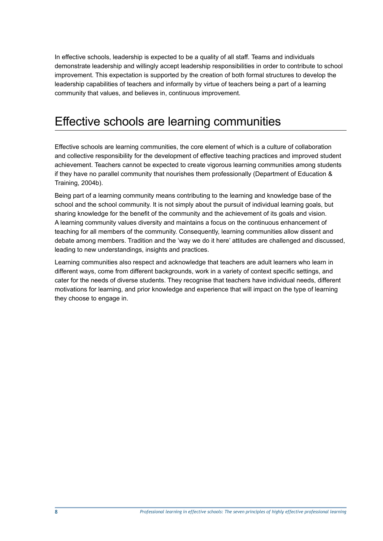In effective schools, leadership is expected to be a quality of all staff. Teams and individuals demonstrate leadership and willingly accept leadership responsibilities in order to contribute to school improvement. This expectation is supported by the creation of both formal structures to develop the leadership capabilities of teachers and informally by virtue of teachers being a part of a learning community that values, and believes in, continuous improvement.

### Effective schools are learning communities

Effective schools are learning communities, the core element of which is a culture of collaboration and collective responsibility for the development of effective teaching practices and improved student achievement. Teachers cannot be expected to create vigorous learning communities among students if they have no parallel community that nourishes them professionally (Department of Education & Training, 2004b).

Being part of a learning community means contributing to the learning and knowledge base of the school and the school community. It is not simply about the pursuit of individual learning goals, but sharing knowledge for the benefit of the community and the achievement of its goals and vision. A learning community values diversity and maintains a focus on the continuous enhancement of teaching for all members of the community. Consequently, learning communities allow dissent and debate among members. Tradition and the 'way we do it here' attitudes are challenged and discussed, leading to new understandings, insights and practices.

Learning communities also respect and acknowledge that teachers are adult learners who learn in different ways, come from different backgrounds, work in a variety of context specific settings, and cater for the needs of diverse students. They recognise that teachers have individual needs, different motivations for learning, and prior knowledge and experience that will impact on the type of learning they choose to engage in.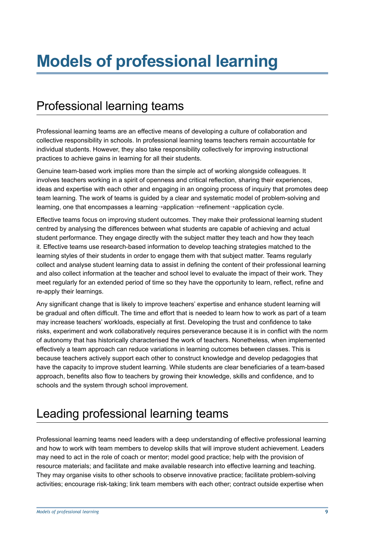### Professional learning teams

Professional learning teams are an effective means of developing a culture of collaboration and collective responsibility in schools. In professional learning teams teachers remain accountable for individual students. However, they also take responsibility collectively for improving instructional practices to achieve gains in learning for all their students.

Genuine team-based work implies more than the simple act of working alongside colleagues. It involves teachers working in a spirit of openness and critical reflection, sharing their experiences, ideas and expertise with each other and engaging in an ongoing process of inquiry that promotes deep team learning. The work of teams is guided by a clear and systematic model of problem-solving and learning, one that encompasses a learning→application→refinement→application cycle.

Effective teams focus on improving student outcomes. They make their professional learning student centred by analysing the differences between what students are capable of achieving and actual student performance. They engage directly with the subject matter they teach and how they teach it. Effective teams use research-based information to develop teaching strategies matched to the learning styles of their students in order to engage them with that subject matter. Teams regularly collect and analyse student learning data to assist in defining the content of their professional learning and also collect information at the teacher and school level to evaluate the impact of their work. They meet regularly for an extended period of time so they have the opportunity to learn, reflect, refine and re-apply their learnings.

Any significant change that is likely to improve teachers' expertise and enhance student learning will be gradual and often difficult. The time and effort that is needed to learn how to work as part of a team may increase teachers' workloads, especially at first. Developing the trust and confidence to take risks, experiment and work collaboratively requires perseverance because it is in conflict with the norm of autonomy that has historically characterised the work of teachers. Nonetheless, when implemented effectively a team approach can reduce variations in learning outcomes between classes. This is because teachers actively support each other to construct knowledge and develop pedagogies that have the capacity to improve student learning. While students are clear beneficiaries of a team-based approach, benefits also flow to teachers by growing their knowledge, skills and confidence, and to schools and the system through school improvement.

### Leading professional learning teams

Professional learning teams need leaders with a deep understanding of effective professional learning and how to work with team members to develop skills that will improve student achievement. Leaders may need to act in the role of coach or mentor; model good practice; help with the provision of resource materials; and facilitate and make available research into effective learning and teaching. They may organise visits to other schools to observe innovative practice; facilitate problem-solving activities; encourage risk-taking; link team members with each other; contract outside expertise when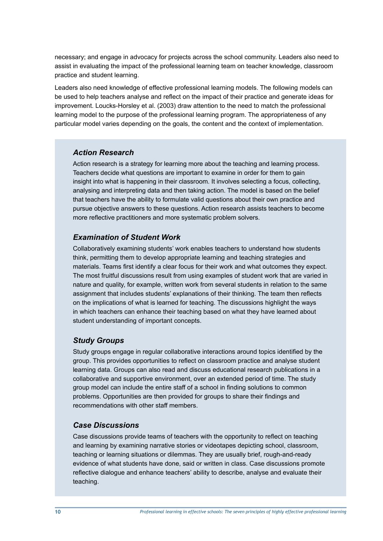necessary; and engage in advocacy for projects across the school community. Leaders also need to assist in evaluating the impact of the professional learning team on teacher knowledge, classroom practice and student learning.

Leaders also need knowledge of effective professional learning models. The following models can be used to help teachers analyse and reflect on the impact of their practice and generate ideas for improvement. Loucks-Horsley et al. (2003) draw attention to the need to match the professional learning model to the purpose of the professional learning program. The appropriateness of any particular model varies depending on the goals, the content and the context of implementation.

#### *Action Research*

Action research is a strategy for learning more about the teaching and learning process. Teachers decide what questions are important to examine in order for them to gain insight into what is happening in their classroom. It involves selecting a focus, collecting, analysing and interpreting data and then taking action. The model is based on the belief that teachers have the ability to formulate valid questions about their own practice and pursue objective answers to these questions. Action research assists teachers to become more reflective practitioners and more systematic problem solvers.

#### *Examination of Student Work*

Collaboratively examining students' work enables teachers to understand how students think, permitting them to develop appropriate learning and teaching strategies and materials. Teams first identify a clear focus for their work and what outcomes they expect. The most fruitful discussions result from using examples of student work that are varied in nature and quality, for example, written work from several students in relation to the same assignment that includes students' explanations of their thinking. The team then reflects on the implications of what is learned for teaching. The discussions highlight the ways in which teachers can enhance their teaching based on what they have learned about student understanding of important concepts.

#### *Study Groups*

Study groups engage in regular collaborative interactions around topics identified by the group. This provides opportunities to reflect on classroom practice and analyse student learning data. Groups can also read and discuss educational research publications in a collaborative and supportive environment, over an extended period of time. The study group model can include the entire staff of a school in finding solutions to common problems. Opportunities are then provided for groups to share their findings and recommendations with other staff members.

#### *Case Discussions*

Case discussions provide teams of teachers with the opportunity to reflect on teaching and learning by examining narrative stories or videotapes depicting school, classroom, teaching or learning situations or dilemmas. They are usually brief, rough-and-ready evidence of what students have done, said or written in class. Case discussions promote reflective dialogue and enhance teachers' ability to describe, analyse and evaluate their teaching.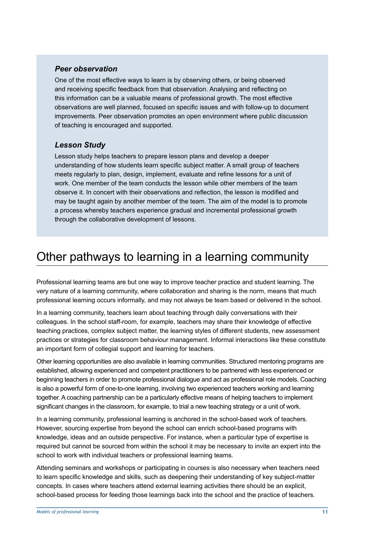#### *Peer observation*

One of the most effective ways to learn is by observing others, or being observed and receiving specific feedback from that observation. Analysing and reflecting on this information can be a valuable means of professional growth. The most effective observations are well planned, focused on specific issues and with follow-up to document improvements. Peer observation promotes an open environment where public discussion of teaching is encouraged and supported.

#### *Lesson Study*

Lesson study helps teachers to prepare lesson plans and develop a deeper understanding of how students learn specific subject matter. A small group of teachers meets regularly to plan, design, implement, evaluate and refine lessons for a unit of work. One member of the team conducts the lesson while other members of the team observe it. In concert with their observations and reflection, the lesson is modified and may be taught again by another member of the team. The aim of the model is to promote a process whereby teachers experience gradual and incremental professional growth through the collaborative development of lessons.

### Other pathways to learning in a learning community

Professional learning teams are but one way to improve teacher practice and student learning. The very nature of a learning community, where collaboration and sharing is the norm, means that much professional learning occurs informally, and may not always be team based or delivered in the school.

In a learning community, teachers learn about teaching through daily conversations with their colleagues. In the school staff-room, for example, teachers may share their knowledge of effective teaching practices, complex subject matter, the learning styles of different students, new assessment practices or strategies for classroom behaviour management. Informal interactions like these constitute an important form of collegial support and learning for teachers.

Other learning opportunities are also available in learning communities. Structured mentoring programs are established, allowing experienced and competent practitioners to be partnered with less experienced or beginning teachers in order to promote professional dialogue and act as professional role models. Coaching is also a powerful form of one-to-one learning, involving two experienced teachers working and learning together. A coaching partnership can be a particularly effective means of helping teachers to implement significant changes in the classroom, for example, to trial a new teaching strategy or a unit of work.

In a learning community, professional learning is anchored in the school-based work of teachers. However, sourcing expertise from beyond the school can enrich school-based programs with knowledge, ideas and an outside perspective. For instance, when a particular type of expertise is required but cannot be sourced from within the school it may be necessary to invite an expert into the school to work with individual teachers or professional learning teams.

Attending seminars and workshops or participating in courses is also necessary when teachers need to learn specific knowledge and skills, such as deepening their understanding of key subject-matter concepts. In cases where teachers attend external learning activities there should be an explicit, school-based process for feeding those learnings back into the school and the practice of teachers.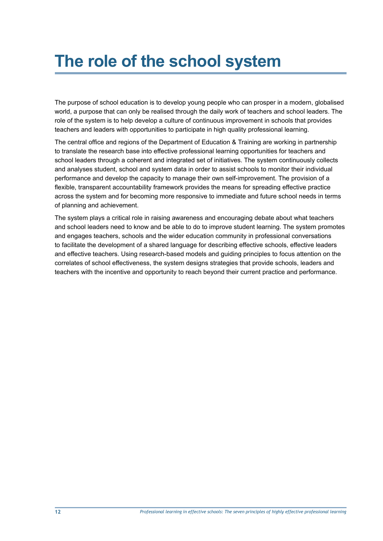## **The role of the school system**

The purpose of school education is to develop young people who can prosper in a modern, globalised world, a purpose that can only be realised through the daily work of teachers and school leaders. The role of the system is to help develop a culture of continuous improvement in schools that provides teachers and leaders with opportunities to participate in high quality professional learning.

The central office and regions of the Department of Education & Training are working in partnership to translate the research base into effective professional learning opportunities for teachers and school leaders through a coherent and integrated set of initiatives. The system continuously collects and analyses student, school and system data in order to assist schools to monitor their individual performance and develop the capacity to manage their own self-improvement. The provision of a flexible, transparent accountability framework provides the means for spreading effective practice across the system and for becoming more responsive to immediate and future school needs in terms of planning and achievement.

The system plays a critical role in raising awareness and encouraging debate about what teachers and school leaders need to know and be able to do to improve student learning. The system promotes and engages teachers, schools and the wider education community in professional conversations to facilitate the development of a shared language for describing effective schools, effective leaders and effective teachers. Using research-based models and guiding principles to focus attention on the correlates of school effectiveness, the system designs strategies that provide schools, leaders and teachers with the incentive and opportunity to reach beyond their current practice and performance.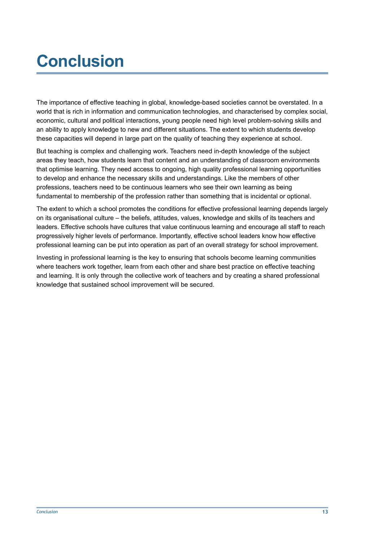## **Conclusion**

The importance of effective teaching in global, knowledge-based societies cannot be overstated. In a world that is rich in information and communication technologies, and characterised by complex social, economic, cultural and political interactions, young people need high level problem-solving skills and an ability to apply knowledge to new and different situations. The extent to which students develop these capacities will depend in large part on the quality of teaching they experience at school.

But teaching is complex and challenging work. Teachers need in-depth knowledge of the subject areas they teach, how students learn that content and an understanding of classroom environments that optimise learning. They need access to ongoing, high quality professional learning opportunities to develop and enhance the necessary skills and understandings. Like the members of other professions, teachers need to be continuous learners who see their own learning as being fundamental to membership of the profession rather than something that is incidental or optional.

The extent to which a school promotes the conditions for effective professional learning depends largely on its organisational culture – the beliefs, attitudes, values, knowledge and skills of its teachers and leaders. Effective schools have cultures that value continuous learning and encourage all staff to reach progressively higher levels of performance. Importantly, effective school leaders know how effective professional learning can be put into operation as part of an overall strategy for school improvement.

Investing in professional learning is the key to ensuring that schools become learning communities where teachers work together, learn from each other and share best practice on effective teaching and learning. It is only through the collective work of teachers and by creating a shared professional knowledge that sustained school improvement will be secured.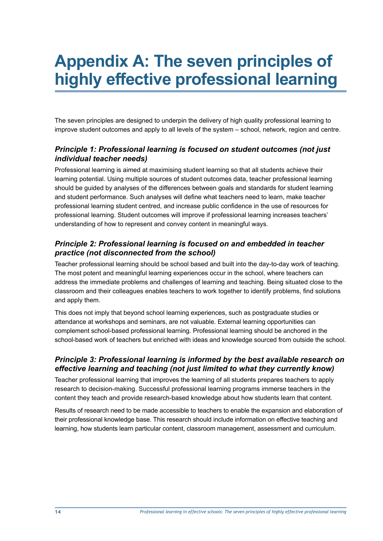## **Appendix A: The seven principles of highly effective professional learning**

The seven principles are designed to underpin the delivery of high quality professional learning to improve student outcomes and apply to all levels of the system – school, network, region and centre.

#### *Principle 1: Professional learning is focused on student outcomes (not just individual teacher needs)*

Professional learning is aimed at maximising student learning so that all students achieve their learning potential. Using multiple sources of student outcomes data, teacher professional learning should be guided by analyses of the differences between goals and standards for student learning and student performance. Such analyses will define what teachers need to learn, make teacher professional learning student centred, and increase public confidence in the use of resources for professional learning. Student outcomes will improve if professional learning increases teachers' understanding of how to represent and convey content in meaningful ways.

#### *Principle 2: Professional learning is focused on and embedded in teacher practice (not disconnected from the school)*

Teacher professional learning should be school based and built into the day-to-day work of teaching. The most potent and meaningful learning experiences occur in the school, where teachers can address the immediate problems and challenges of learning and teaching. Being situated close to the classroom and their colleagues enables teachers to work together to identify problems, find solutions and apply them.

This does not imply that beyond school learning experiences, such as postgraduate studies or attendance at workshops and seminars, are not valuable. External learning opportunities can complement school-based professional learning. Professional learning should be anchored in the school-based work of teachers but enriched with ideas and knowledge sourced from outside the school.

#### *Principle 3: Professional learning is informed by the best available research on effective learning and teaching (not just limited to what they currently know)*

Teacher professional learning that improves the learning of all students prepares teachers to apply research to decision-making. Successful professional learning programs immerse teachers in the content they teach and provide research-based knowledge about how students learn that content.

Results of research need to be made accessible to teachers to enable the expansion and elaboration of their professional knowledge base. This research should include information on effective teaching and learning, how students learn particular content, classroom management, assessment and curriculum.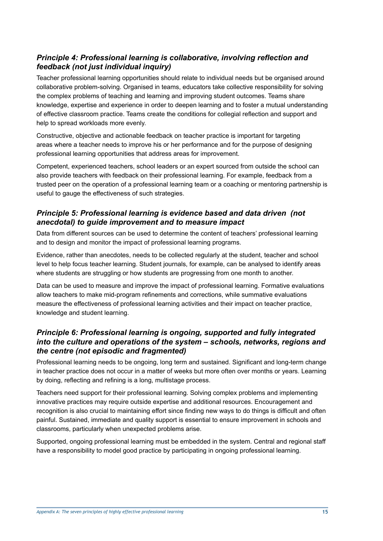#### *Principle 4: Professional learning is collaborative, involving reflection and feedback (not just individual inquiry)*

Teacher professional learning opportunities should relate to individual needs but be organised around collaborative problem-solving. Organised in teams, educators take collective responsibility for solving the complex problems of teaching and learning and improving student outcomes. Teams share knowledge, expertise and experience in order to deepen learning and to foster a mutual understanding of effective classroom practice. Teams create the conditions for collegial reflection and support and help to spread workloads more evenly.

Constructive, objective and actionable feedback on teacher practice is important for targeting areas where a teacher needs to improve his or her performance and for the purpose of designing professional learning opportunities that address areas for improvement.

Competent, experienced teachers, school leaders or an expert sourced from outside the school can also provide teachers with feedback on their professional learning. For example, feedback from a trusted peer on the operation of a professional learning team or a coaching or mentoring partnership is useful to gauge the effectiveness of such strategies.

#### *Principle 5: Professional learning is evidence based and data driven (not anecdotal) to guide improvement and to measure impact*

Data from different sources can be used to determine the content of teachers' professional learning and to design and monitor the impact of professional learning programs.

Evidence, rather than anecdotes, needs to be collected regularly at the student, teacher and school level to help focus teacher learning. Student journals, for example, can be analysed to identify areas where students are struggling or how students are progressing from one month to another.

Data can be used to measure and improve the impact of professional learning. Formative evaluations allow teachers to make mid-program refinements and corrections, while summative evaluations measure the effectiveness of professional learning activities and their impact on teacher practice, knowledge and student learning.

#### *Principle 6: Professional learning is ongoing, supported and fully integrated into the culture and operations of the system – schools, networks, regions and the centre (not episodic and fragmented)*

Professional learning needs to be ongoing, long term and sustained. Significant and long-term change in teacher practice does not occur in a matter of weeks but more often over months or years. Learning by doing, reflecting and refining is a long, multistage process.

Teachers need support for their professional learning. Solving complex problems and implementing innovative practices may require outside expertise and additional resources. Encouragement and recognition is also crucial to maintaining effort since finding new ways to do things is difficult and often painful. Sustained, immediate and quality support is essential to ensure improvement in schools and classrooms, particularly when unexpected problems arise.

Supported, ongoing professional learning must be embedded in the system. Central and regional staff have a responsibility to model good practice by participating in ongoing professional learning.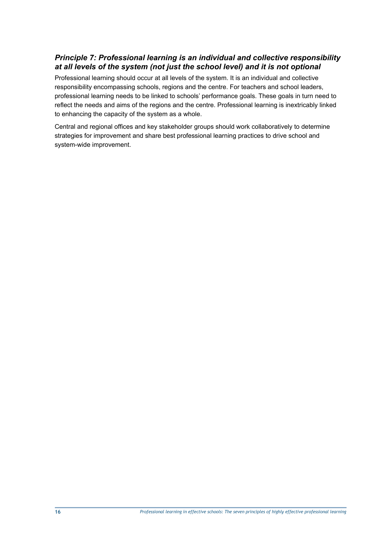#### *Principle 7: Professional learning is an individual and collective responsibility at all levels of the system (not just the school level) and it is not optional*

Professional learning should occur at all levels of the system. It is an individual and collective responsibility encompassing schools, regions and the centre. For teachers and school leaders, professional learning needs to be linked to schools' performance goals. These goals in turn need to reflect the needs and aims of the regions and the centre. Professional learning is inextricably linked to enhancing the capacity of the system as a whole.

Central and regional offices and key stakeholder groups should work collaboratively to determine strategies for improvement and share best professional learning practices to drive school and system-wide improvement.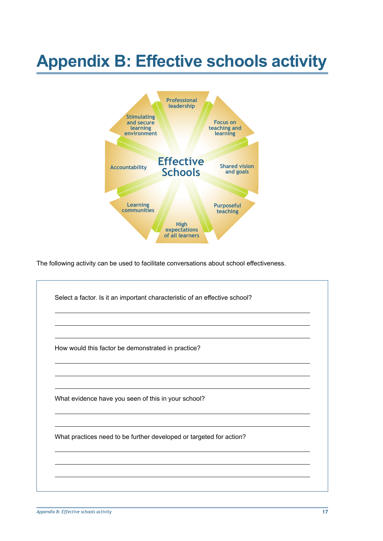## **Appendix B: Effective schools activity**



The following activity can be used to facilitate conversations about school effectiveness.

| How would this factor be demonstrated in practice?                  |  |
|---------------------------------------------------------------------|--|
|                                                                     |  |
| What evidence have you seen of this in your school?                 |  |
| What practices need to be further developed or targeted for action? |  |
|                                                                     |  |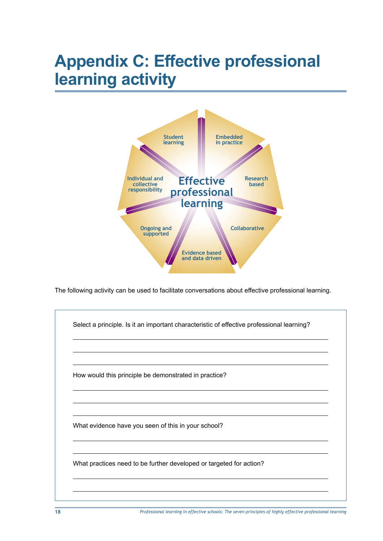## **Appendix C: Effective professional learning activity**



The following activity can be used to facilitate conversations about effective professional learning.

Select a principle. Is it an important characteristic of effective professional learning? How would this principle be demonstrated in practice? What evidence have you seen of this in your school? What practices need to be further developed or targeted for action?

**18** *Professional learning in effective schools: The seven principles of highly effective professional learning*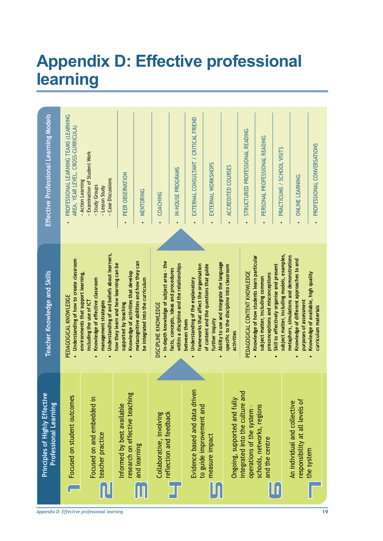## **Appendix D: Effective professional learning**



*Appendix D: Effective professional learning*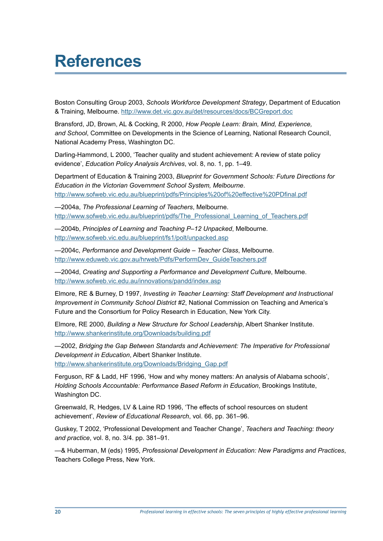### **References**

Boston Consulting Group 2003, *Schools Workforce Development Strategy*, Department of Education & Training, Melbourne. http://www.det.vic.gov.au/det/resources/docs/BCGreport.doc

Bransford, JD, Brown, AL & Cocking, R 2000, *How People Learn: Brain, Mind, Experience, and School*, Committee on Developments in the Science of Learning, National Research Council, National Academy Press, Washington DC.

Darling-Hammond, L 2000, 'Teacher quality and student achievement: A review of state policy evidence', *Education Policy Analysis Archives*, vol. 8, no. 1, pp. 1–49.

Department of Education & Training 2003, *Blueprint for Government Schools: Future Directions for Education in the Victorian Government School System, Melbourne*. http://www.sofweb.vic.edu.au/blueprint/pdfs/Principles%20of%20effective%20PDfinal.pdf

—2004a, *The Professional Learning of Teachers*, Melbourne. http://www.sofweb.vic.edu.au/blueprint/pdfs/The\_Professional\_Learning\_of\_Teachers.pdf

—2004b, *Principles of Learning and Teaching P–12 Unpacked*, Melbourne. http://www.sofweb.vic.edu.au/blueprint/fs1/polt/unpacked.asp

—2004c, *Performance and Development Guide – Teacher Class*, Melbourne. http://www.eduweb.vic.gov.au/hrweb/Pdfs/PerformDev\_GuideTeachers.pdf

—2004d, *Creating and Supporting a Performance and Development Culture*, Melbourne. http://www.sofweb.vic.edu.au/innovations/pandd/index.asp

Elmore, RE & Burney, D 1997, *Investing in Teacher Learning: Staff Development and Instructional Improvement in Community School District #2*, National Commission on Teaching and America's Future and the Consortium for Policy Research in Education, New York City.

Elmore, RE 2000, *Building a New Structure for School Leadership*, Albert Shanker Institute. http://www.shankerinstitute.org/Downloads/building.pdf

—2002, *Bridging the Gap Between Standards and Achievement: The Imperative for Professional Development in Education*, Albert Shanker Institute. http://www.shankerinstitute.org/Downloads/Bridging\_Gap.pdf

Ferguson, RF & Ladd, HF 1996, 'How and why money matters: An analysis of Alabama schools', *Holding Schools Accountable: Performance Based Reform in Education*, Brookings Institute, Washington DC.

Greenwald, R, Hedges, LV & Laine RD 1996, 'The effects of school resources on student achievement', *Review of Educational Research*, vol. 66, pp. 361–96.

Guskey, T 2002, 'Professional Development and Teacher Change', *Teachers and Teaching: theory and practice*, vol. 8, no. 3/4. pp. 381–91.

—& Huberman, M (eds) 1995, *Professional Development in Education: New Paradigms and Practices*, Teachers College Press, New York.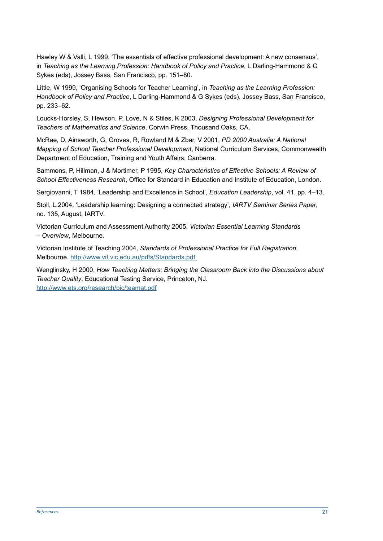Hawley W & Valli, L 1999, 'The essentials of effective professional development: A new consensus', in *Teaching as the Learning Profession: Handbook of Policy and Practice*, L Darling-Hammond & G Sykes (eds), Jossey Bass, San Francisco, pp. 151–80.

Little, W 1999, 'Organising Schools for Teacher Learning', in *Teaching as the Learning Profession: Handbook of Policy and Practice*, L Darling-Hammond & G Sykes (eds), Jossey Bass, San Francisco, pp. 233–62.

Loucks-Horsley, S, Hewson, P, Love, N & Stiles, K 2003, *Designing Professional Development for Teachers of Mathematics and Science*, Corwin Press, Thousand Oaks, CA.

McRae, D, Ainsworth, G, Groves, R, Rowland M & Zbar, V 2001, *PD 2000 Australia: A National Mapping of School Teacher Professional Development*, National Curriculum Services, Commonwealth Department of Education, Training and Youth Affairs, Canberra.

Sammons, P, Hillman, J & Mortimer, P 1995, *Key Characteristics of Effective Schools: A Review of School Effectiveness Research*, Office for Standard in Education and Institute of Education, London.

Sergiovanni, T 1984, 'Leadership and Excellence in School', *Education Leadership*, vol. 41, pp. 4–13.

Stoll, L.2004, 'Leadership learning: Designing a connected strategy', *IARTV Seminar Series Paper*, no. 135, August, IARTV.

Victorian Curriculum and Assessment Authority 2005, *Victorian Essential Learning Standards – Overview*, Melbourne.

Victorian Institute of Teaching 2004, *Standards of Professional Practice for Full Registration*, Melbourne. http://www.vit.vic.edu.au/pdfs/Standards.pdf

Wenglinsky, H 2000, *How Teaching Matters: Bringing the Classroom Back into the Discussions about Teacher Quality*, Educational Testing Service, Princeton, NJ. http://www.ets.org/research/pic/teamat.pdf